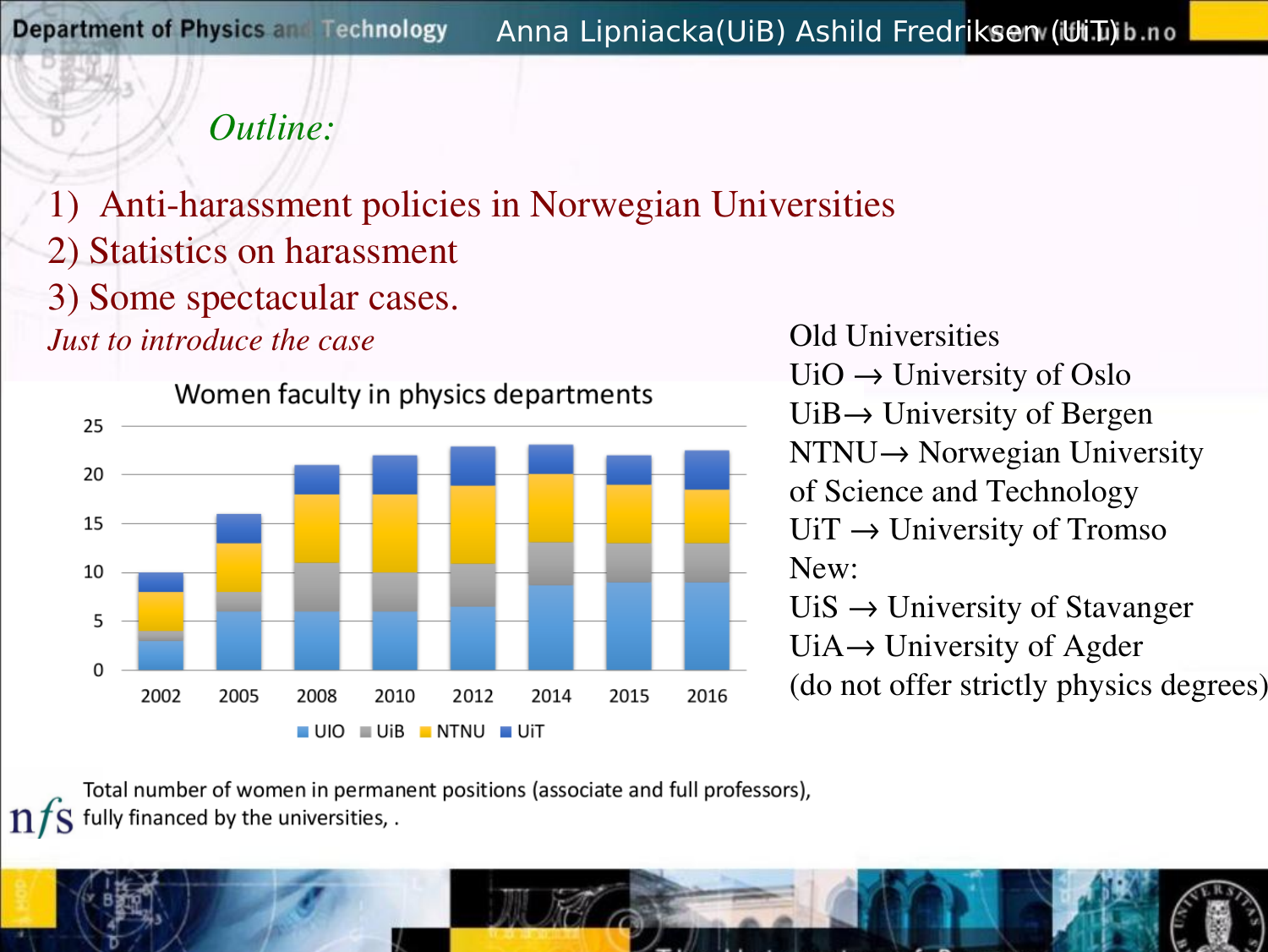*Outline:*

## 1) Anti-harassment policies in Norwegian Universities 2) Statistics on harassment 3) Some spectacular cases.

*Just to introduce the case* Old Universities



 $UiO \rightarrow University of Oslo$  $UiB \rightarrow$  University of Bergen NTNU→ Norwegian University of Science and Technology  $UiT \rightarrow$  University of Tromso New:  $UiS \rightarrow$  University of Stavanger  $UiA \rightarrow University$  of Agder (do not offer strictly physics degrees)

Total number of women in permanent positions (associate and full professors), fully financed by the universities, .

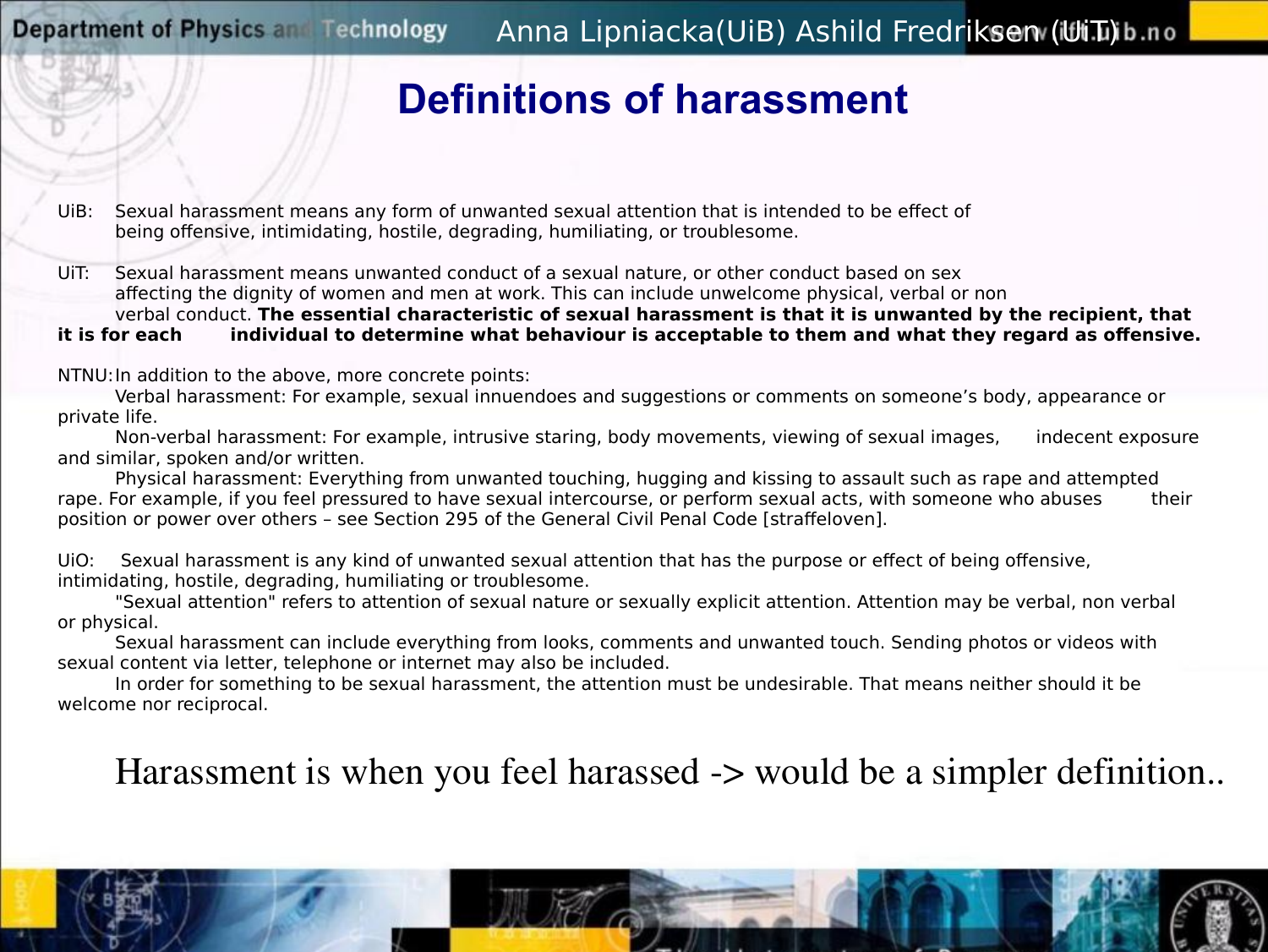#### **Definitions of harassment**

UiB: Sexual harassment means any form of unwanted sexual attention that is intended to be effect of being offensive, intimidating, hostile, degrading, humiliating, or troublesome.

UiT: Sexual harassment means unwanted conduct of a sexual nature, or other conduct based on sex affecting the dignity of women and men at work. This can include unwelcome physical, verbal or non verbal conduct. **The essential characteristic of sexual harassment is that it is unwanted by the recipient, that** 

#### **it is for each individual to determine what behaviour is acceptable to them and what they regard as offensive.**

NTNU:In addition to the above, more concrete points:

Verbal harassment: For example, sexual innuendoes and suggestions or comments on someone's body, appearance or private life.

Non-verbal harassment: For example, intrusive staring, body movements, viewing of sexual images, indecent exposure and similar, spoken and/or written.

Physical harassment: Everything from unwanted touching, hugging and kissing to assault such as rape and attempted rape. For example, if you feel pressured to have sexual intercourse, or perform sexual acts, with someone who abuses their position or power over others – see Section 295 of the General Civil Penal Code [straffeloven].

UiO: Sexual harassment is any kind of unwanted sexual attention that has the purpose or effect of being offensive, intimidating, hostile, degrading, humiliating or troublesome.

"Sexual attention" refers to attention of sexual nature or sexually explicit attention. Attention may be verbal, non verbal or physical.

Sexual harassment can include everything from looks, comments and unwanted touch. Sending photos or videos with sexual content via letter, telephone or internet may also be included.

In order for something to be sexual harassment, the attention must be undesirable. That means neither should it be welcome nor reciprocal.

#### Harassment is when you feel harassed -> would be a simpler definition..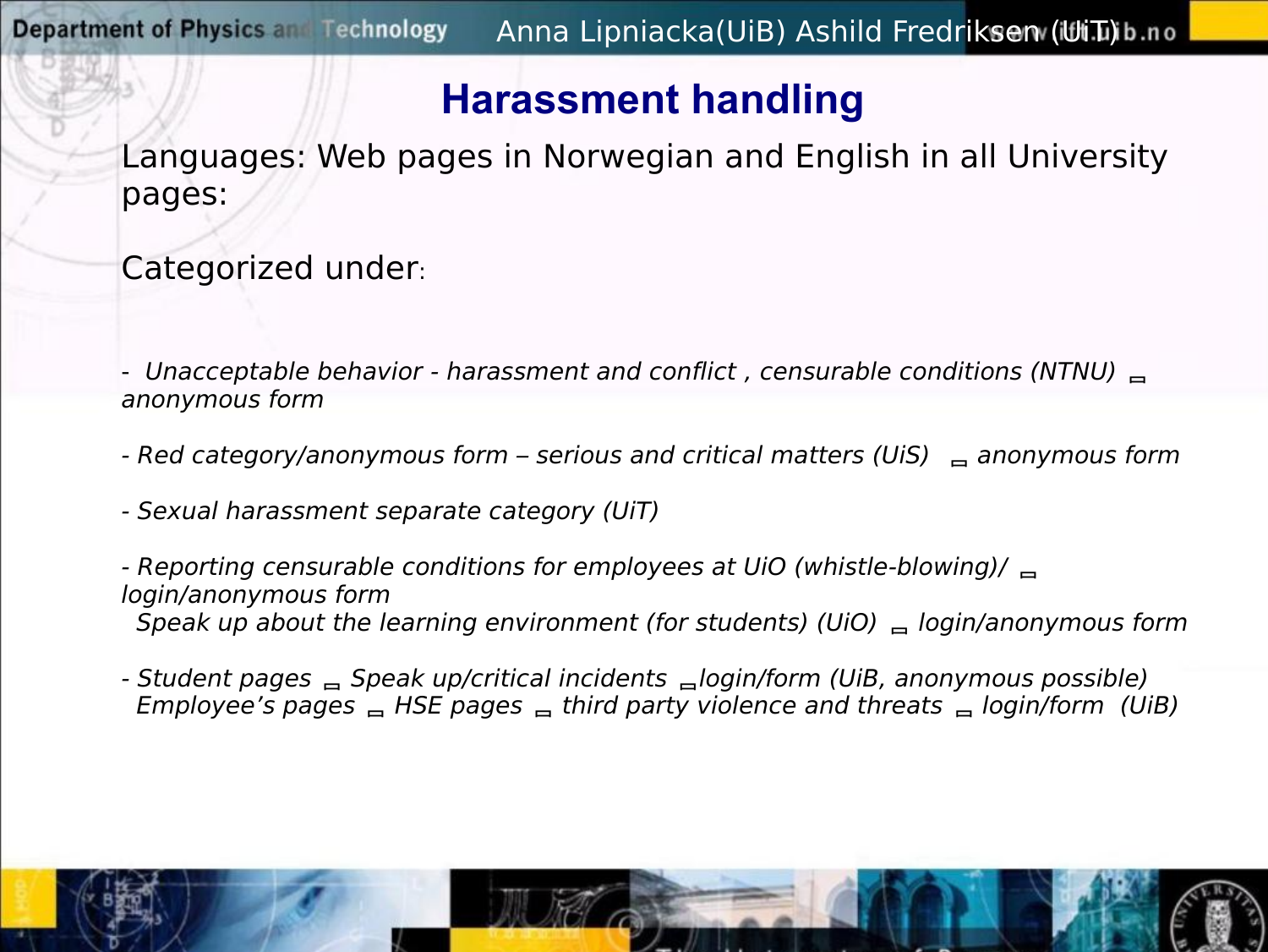# **Harassment handling**

Languages: Web pages in Norwegian and English in all University pages:

Categorized under:

- Unacceptable behavior - harassment and conflict , censurable conditions (NTNU) anonymous form

- Red category/anonymous form – serious and critical matters (UiS)  $\Box$  anonymous form

- Sexual harassment separate category (UiT)

- Reporting censurable conditions for employees at UiO (whistle-blowing)/ login/anonymous form Speak up about the learning environment (for students) (UiO)  $\Box$  login/anonymous form

- Student pages  $\Box$  Speak up/critical incidents  $\Box$ login/form (UiB, anonymous possible) Employee's pages  $\equiv$  HSE pages  $\equiv$  third party violence and threats  $\equiv$  login/form (UiB)

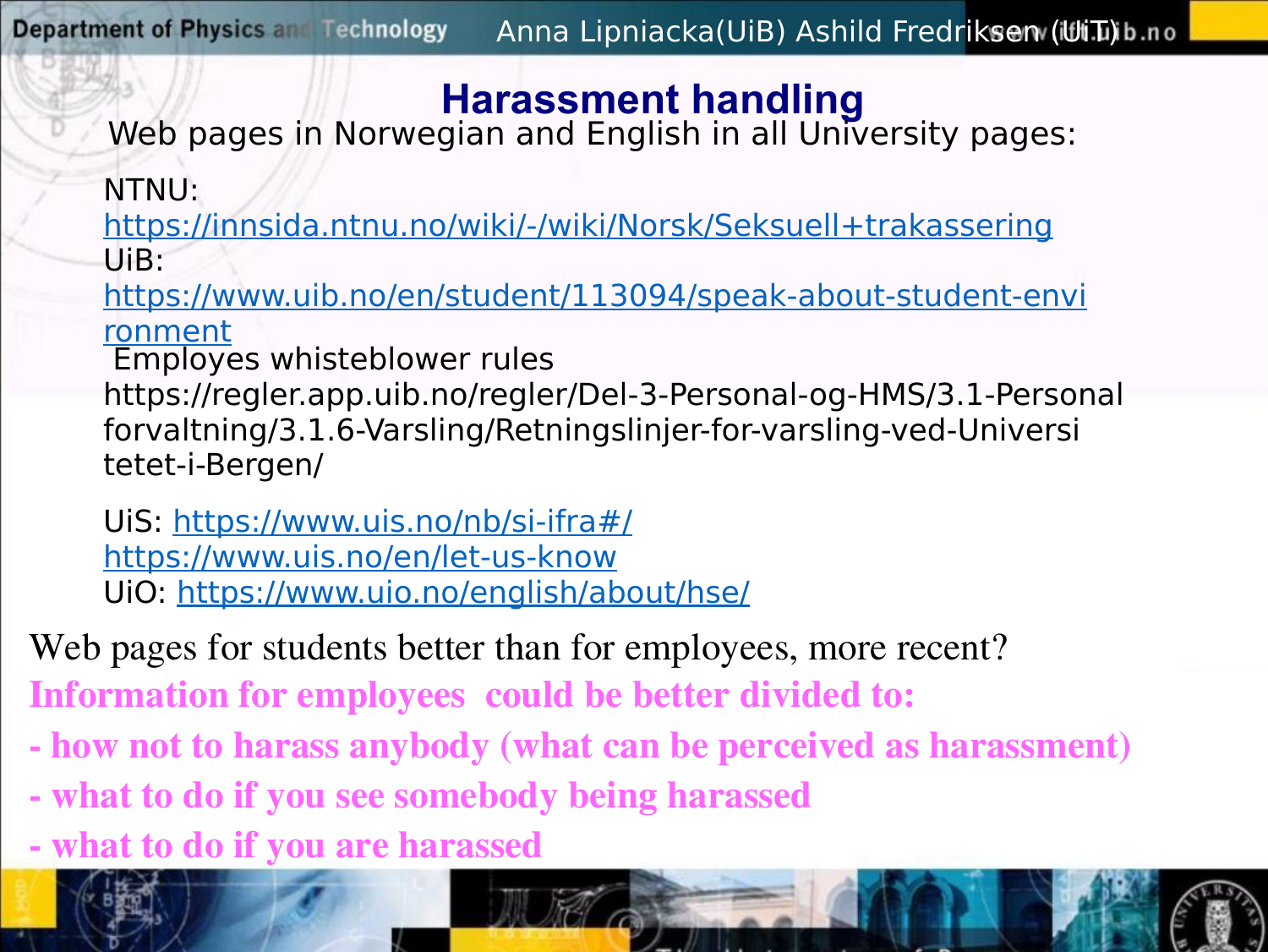#### **Harassment handling**

Web pages in Norwegian and English in all University pages:

NTNU:

<https://innsida.ntnu.no/wiki/-/wiki/Norsk/Seksuell+trakassering> UiB:

[https://www.uib.no/en/student/113094/speak-about-student-envi](https://www.uib.no/en/student/113094/speak-about-student-environment) [ronment](https://www.uib.no/en/student/113094/speak-about-student-environment)

 Employes whisteblower rules [https://regler.app.uib.no/regler/Del-3-Personal-og-HMS/3.1-Personal](https://regler.app.uib.no/regler/Del-3-Personal-og-HMS/3.1-Personalforvaltning/3.1.6-Varsling/Retningslinjer-for-varsling-ved-Universitetet-i-Bergen/) [forvaltning/3.1.6-Varsling/Retningslinjer-for-varsling-ved-Universi](https://regler.app.uib.no/regler/Del-3-Personal-og-HMS/3.1-Personalforvaltning/3.1.6-Varsling/Retningslinjer-for-varsling-ved-Universitetet-i-Bergen/) [tetet-i-Bergen/](https://regler.app.uib.no/regler/Del-3-Personal-og-HMS/3.1-Personalforvaltning/3.1.6-Varsling/Retningslinjer-for-varsling-ved-Universitetet-i-Bergen/)  $\overline{a}$ 

UiS:<https://www.uis.no/nb/si-ifra#/> <https://www.uis.no/en/let-us-know> UiO:<https://www.uio.no/english/about/hse/>

Web pages for students better than for employees, more recent?

Information for employees could be better divided to:

- how not to harass anybody (what can be perceived as harassment)
- what to do if you see somebody being harassed
- what to do if you are harassed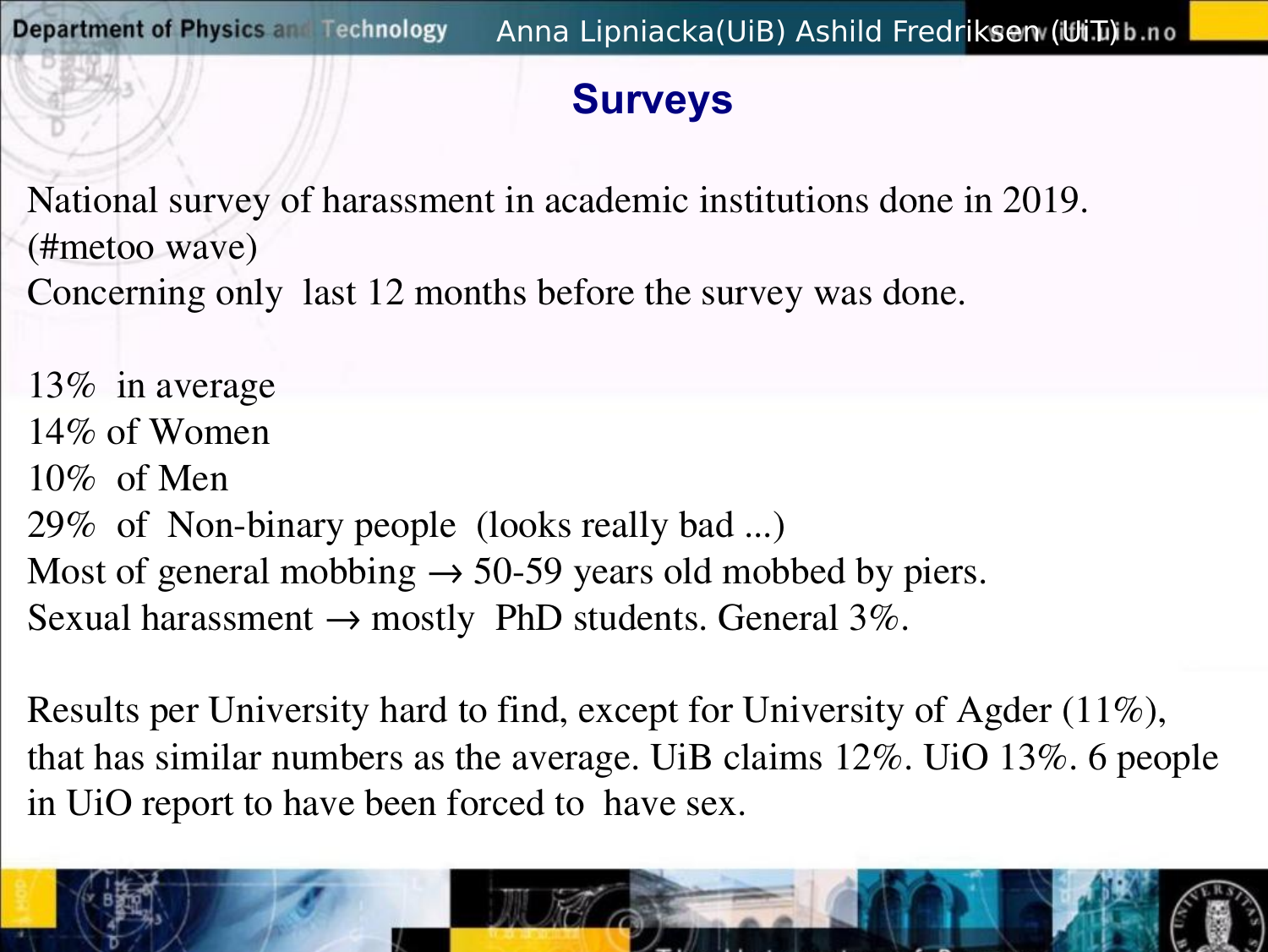## **Surveys**

National survey of harassment in academic institutions done in 2019. (#metoo wave) Concerning only last 12 months before the survey was done.

13% in average 14% of Women 10% of Men 29% of Non-binary people (looks really bad ...) Most of general mobbing  $\rightarrow$  50-59 years old mobbed by piers. Sexual harassment  $\rightarrow$  mostly PhD students. General 3%.

Results per University hard to find, except for University of Agder (11%), that has similar numbers as the average. UiB claims 12%. UiO 13%. 6 people in UiO report to have been forced to have sex.

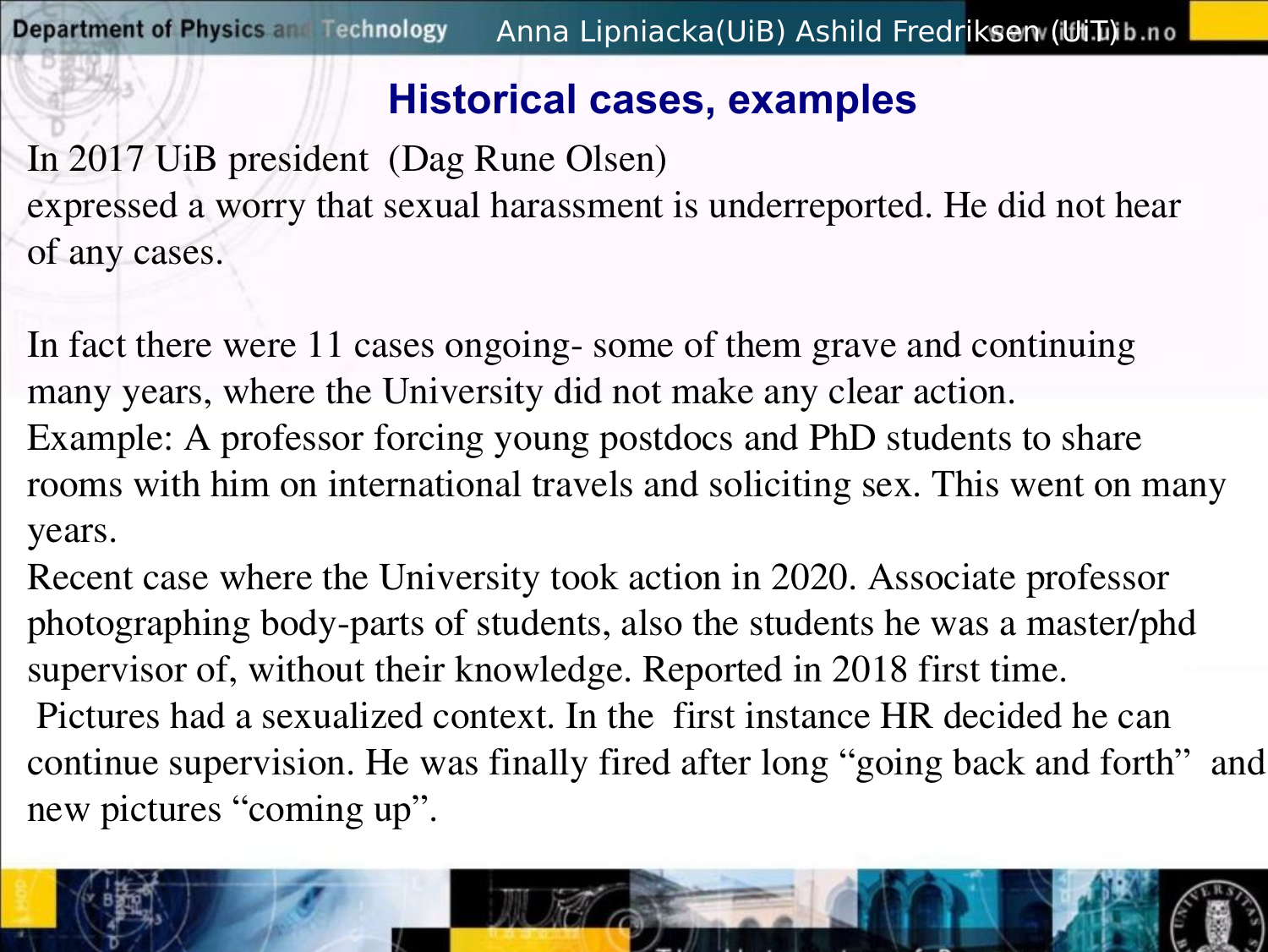## **Historical cases, examples**

In 2017 UiB president (Dag Rune Olsen) expressed a worry that sexual harassment is underreported. He did not hear of any cases.

In fact there were 11 cases ongoing- some of them grave and continuing many years, where the University did not make any clear action. Example: A professor forcing young postdocs and PhD students to share rooms with him on international travels and soliciting sex. This went on many years.

Recent case where the University took action in 2020. Associate professor photographing body-parts of students, also the students he was a master/phd supervisor of, without their knowledge. Reported in 2018 first time. Pictures had a sexualized context. In the first instance HR decided he can continue supervision. He was finally fired after long "going back and forth" and new pictures "coming up".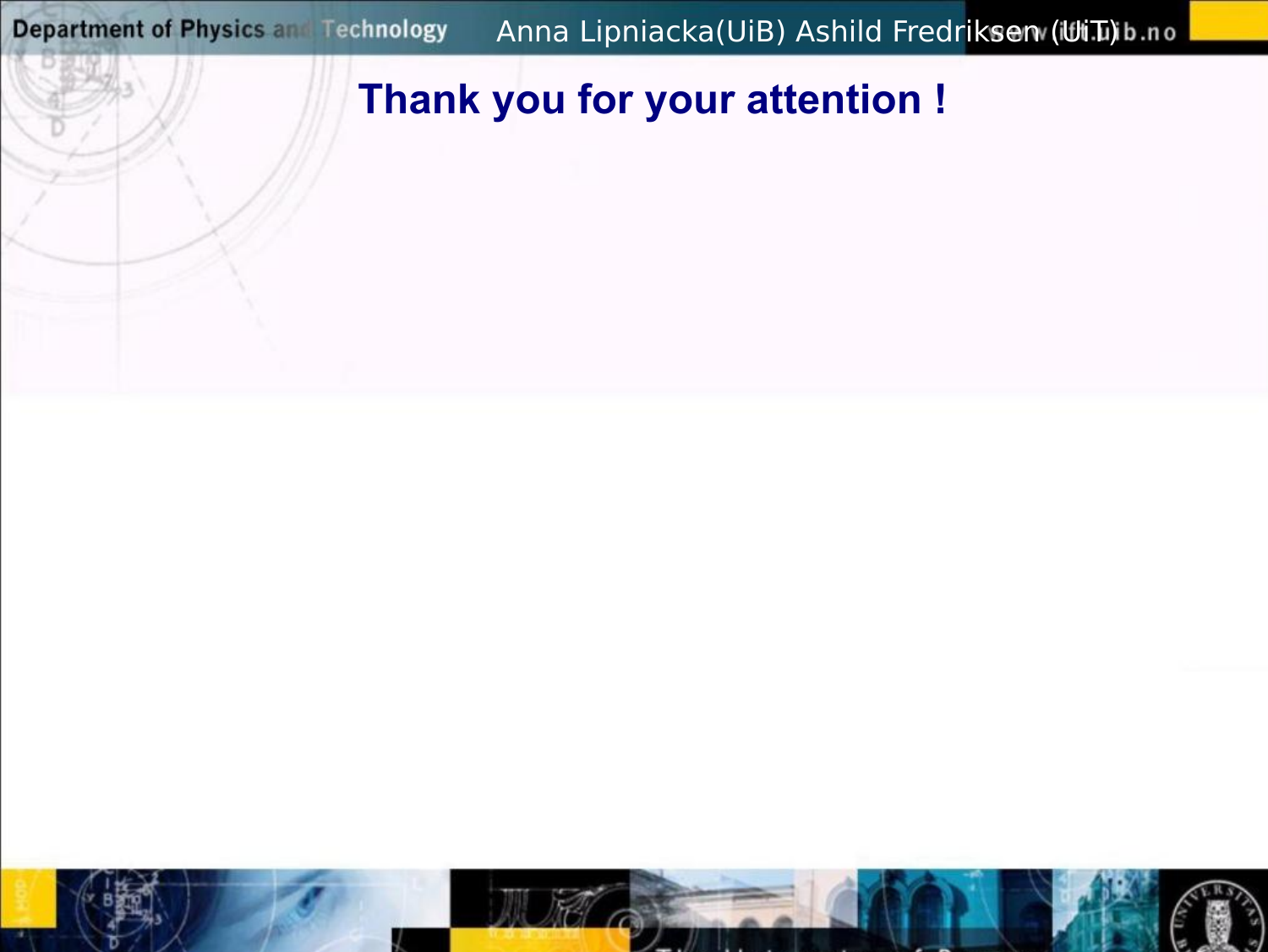## **Thank you for your attention !**